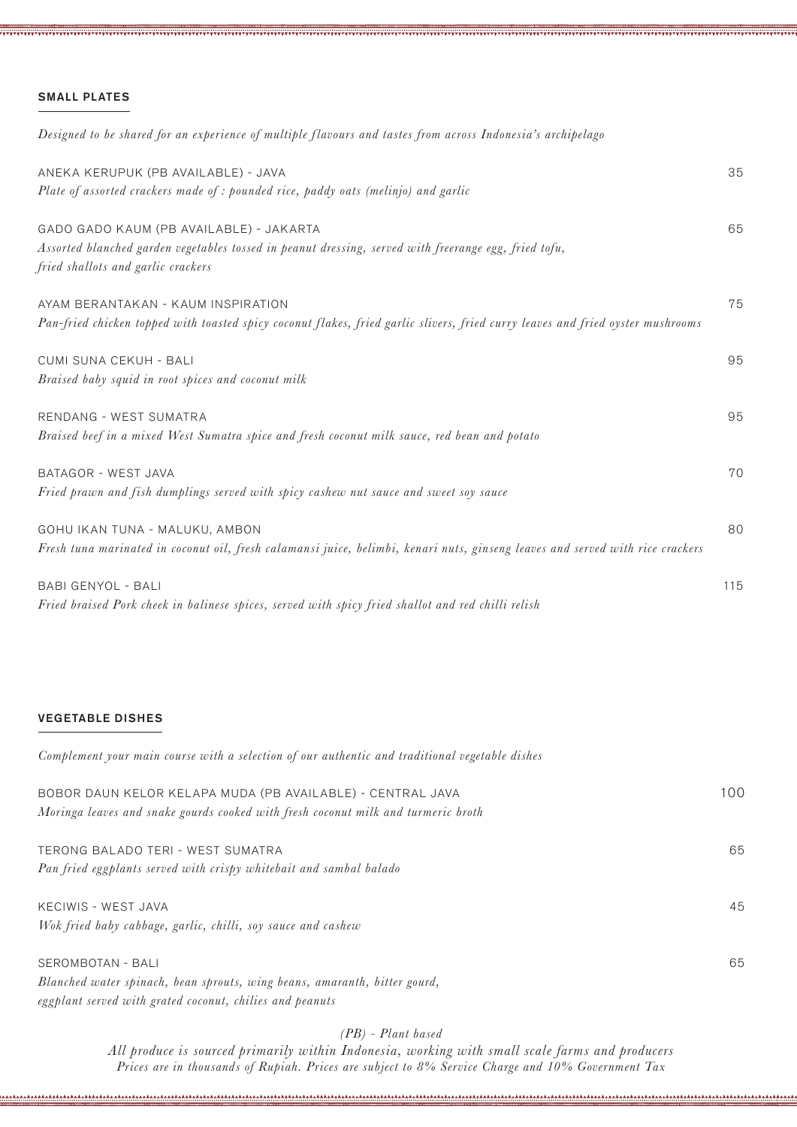### SMALL PLATES

| Designed to be shared for an experience of multiple flavours and tastes from across Indonesia's archipelago                                 |     |
|---------------------------------------------------------------------------------------------------------------------------------------------|-----|
| ANEKA KERUPUK (PB AVAILABLE) - JAVA                                                                                                         | 35  |
| Plate of assorted crackers made of: pounded rice, paddy oats (melinjo) and garlic                                                           |     |
| GADO GADO KAUM (PB AVAILABLE) - JAKARTA                                                                                                     | 65  |
| Assorted blanched garden vegetables tossed in peanut dressing, served with freerange egg, fried tofu,<br>fried shallots and garlic crackers |     |
| AYAM BERANTAKAN - KAUM INSPIRATION                                                                                                          | 75  |
| Pan-fried chicken topped with toasted spicy coconut flakes, fried garlic slivers, fried curry leaves and fried oyster mushrooms             |     |
| CUMI SUNA CEKUH - BALI                                                                                                                      | 95  |
| Braised baby squid in root spices and coconut milk                                                                                          |     |
| RENDANG - WEST SUMATRA                                                                                                                      | 95  |
| Braised beef in a mixed West Sumatra spice and fresh coconut milk sauce, red bean and potato                                                |     |
| BATAGOR - WEST JAVA                                                                                                                         | 70  |
| Fried prawn and fish dumplings served with spicy cashew nut sauce and sweet soy sauce                                                       |     |
| GOHU IKAN TUNA - MALUKU, AMBON                                                                                                              | 80  |
| Fresh tuna marinated in coconut oil, fresh calamansi juice, belimbi, kenari nuts, ginseng leaves and served with rice crackers              |     |
| <b>BABI GENYOL - BALI</b>                                                                                                                   | 115 |
| Fried braised Pork cheek in balinese spices, served with spicy fried shallot and red chilli relish                                          |     |

#### VEGETABLE DISHES

| Complement your main course with a selection of our authentic and traditional vegetable dishes |     |
|------------------------------------------------------------------------------------------------|-----|
| BOBOR DAUN KELOR KELAPA MUDA (PB AVAILABLE) - CENTRAL JAVA                                     | 100 |
| Moringa leaves and snake gourds cooked with fresh coconut milk and turmeric broth              |     |
| TERONG BALADO TERI - WEST SUMATRA                                                              | 65  |
| Pan fried eggplants served with crispy whitebait and sambal balado                             |     |
| KECIWIS - WEST JAVA                                                                            | 45  |
| Wok fried baby cabbage, garlic, chilli, soy sauce and cashew                                   |     |
| SEROMBOTAN - BALI                                                                              | 65  |
| Blanched water spinach, bean sprouts, wing beans, amaranth, bitter gourd,                      |     |
| eggplant served with grated coconut, chilies and peanuts                                       |     |

*(PB) - Plant based* 

*All produce is sourced primarily within Indonesia, working with small scale farms and producers Prices are in thousands of Rupiah. Prices are subject to 8% Service Charge and 10% Government Tax*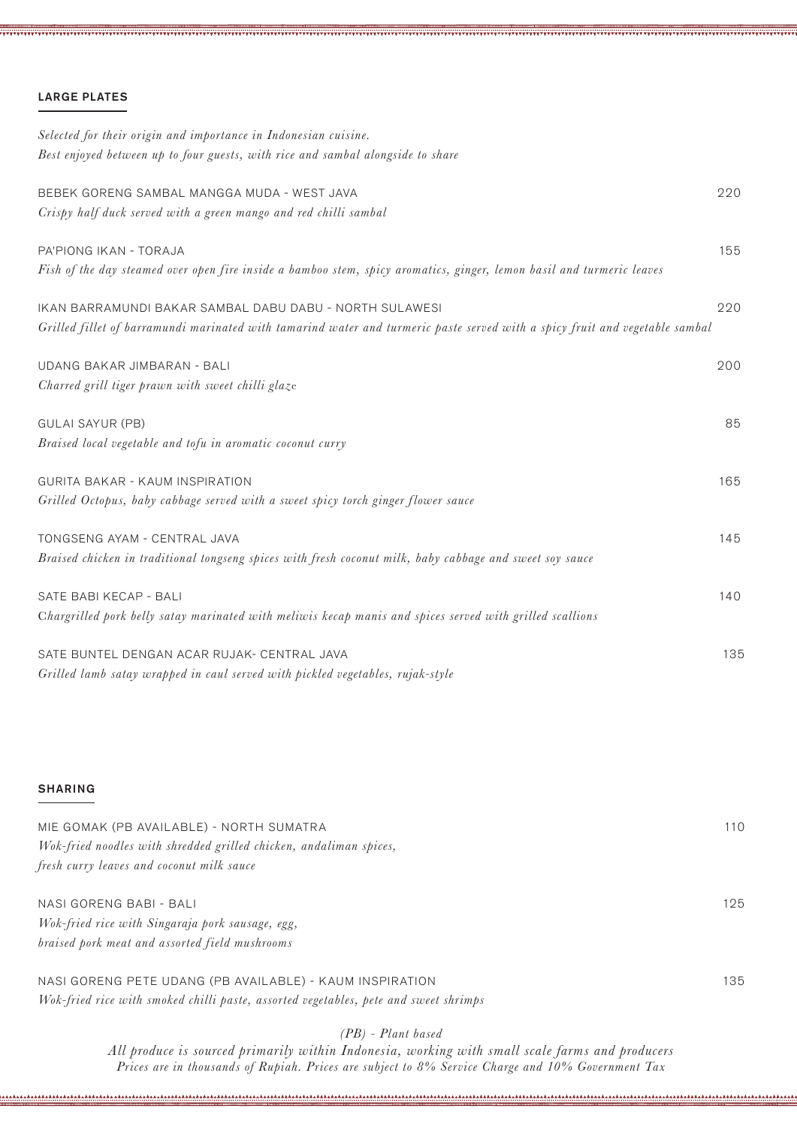## LARGE PLATES

| Selected for their origin and importance in Indonesian cuisine.                                                              |     |
|------------------------------------------------------------------------------------------------------------------------------|-----|
| Best enjoyed between up to four guests, with rice and sambal alongside to share                                              |     |
| BEBEK GORENG SAMBAL MANGGA MUDA - WEST JAVA                                                                                  | 220 |
| Crispy half duck served with a green mango and red chilli sambal                                                             |     |
| PA'PIONG IKAN - TORAJA                                                                                                       | 155 |
| Fish of the day steamed over open fire inside a bamboo stem, spicy aromatics, ginger, lemon basil and turmeric leaves        |     |
| IKAN BARRAMUNDI BAKAR SAMBAL DABU DABU - NORTH SULAWESI                                                                      | 220 |
| Grilled fillet of barramundi marinated with tamarind water and turmeric paste served with a spicy fruit and vegetable sambal |     |
| UDANG BAKAR JIMBARAN - BALI                                                                                                  | 200 |
| Charred grill tiger prawn with sweet chilli glaze                                                                            |     |
| <b>GULAI SAYUR (PB)</b>                                                                                                      | 85  |
| Braised local vegetable and tofu in aromatic coconut curry                                                                   |     |
| <b>GURITA BAKAR - KAUM INSPIRATION</b>                                                                                       | 165 |
| Grilled Octopus, baby cabbage served with a sweet spicy torch ginger flower sauce                                            |     |
| TONGSENG AYAM - CENTRAL JAVA                                                                                                 | 145 |
| Braised chicken in traditional tongseng spices with fresh coconut milk, baby cabbage and sweet soy sauce                     |     |
| SATE BABI KECAP - BALI                                                                                                       | 140 |
| Chargrilled pork belly satay marinated with meliwis kecap manis and spices served with grilled scallions                     |     |
| SATE BUNTEL DENGAN ACAR RUJAK- CENTRAL JAVA                                                                                  | 135 |
| Grilled lamb satay wrapped in caul served with pickled vegetables, rujak-style                                               |     |
|                                                                                                                              |     |
|                                                                                                                              |     |

#### SHARING

| MIE GOMAK (PB AVAILABLE) - NORTH SUMATRA                           | 110 |
|--------------------------------------------------------------------|-----|
| Wok-fried noodles with shredded grilled chicken, andaliman spices, |     |
| fresh curry leaves and coconut milk sauce                          |     |
|                                                                    |     |
| NASI GORENG BABI - BALI                                            | 125 |
| Wok-fried rice with Singaraja pork sausage, egg,                   |     |
| braised pork meat and assorted field mushrooms                     |     |
|                                                                    |     |

NASI GORENG PETE UDANG (PB AVAILABLE) - KAUM INSPIRATION 135 *Wok-fried rice with smoked chilli paste, assorted vegetables, pete and sweet shrimps* 

### *(PB) - Plant based*

*All produce is sourced primarily within Indonesia, working with small scale farms and producers Prices are in thousands of Rupiah. Prices are subject to 8% Service Charge and 10% Government Tax*